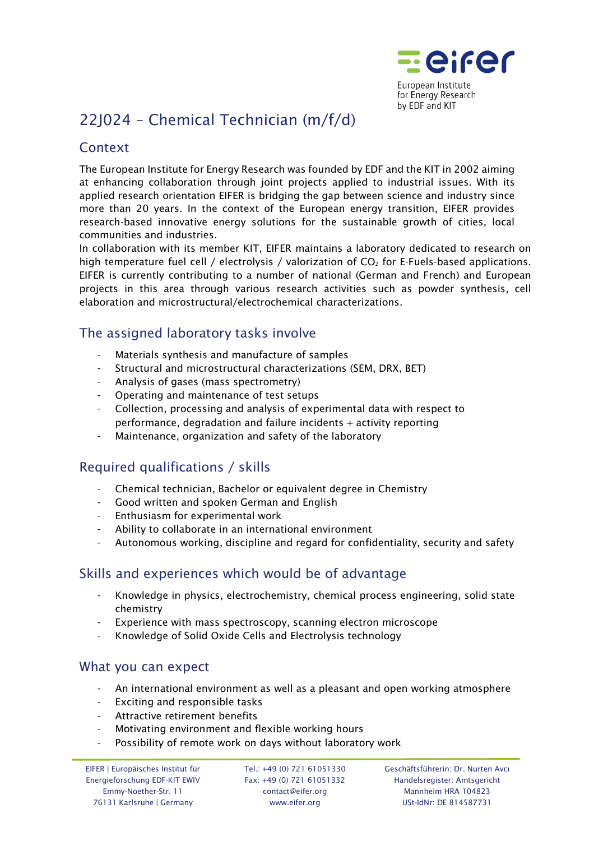

# 22J024 – Chemical Technician (m/f/d)

## **Context**

The European Institute for Energy Research was founded by EDF and the KIT in 2002 aiming at enhancing collaboration through joint projects applied to industrial issues. With its applied research orientation EIFER is bridging the gap between science and industry since more than 20 years. In the context of the European energy transition, EIFER provides research-based innovative energy solutions for the sustainable growth of cities, local communities and industries.

In collaboration with its member KIT, EIFER maintains a laboratory dedicated to research on high temperature fuel cell / electrolysis / valorization of  $CO<sub>2</sub>$  for E-Fuels-based applications. EIFER is currently contributing to a number of national (German and French) and European projects in this area through various research activities such as powder synthesis, cell elaboration and microstructural/electrochemical characterizations.

### The assigned laboratory tasks involve

- Materials synthesis and manufacture of samples
- Structural and microstructural characterizations (SEM, DRX, BET)
- Analysis of gases (mass spectrometry)
- Operating and maintenance of test setups
- Collection, processing and analysis of experimental data with respect to performance, degradation and failure incidents + activity reporting
- Maintenance, organization and safety of the laboratory

# Required qualifications / skills

- Chemical technician, Bachelor or equivalent degree in Chemistry
- Good written and spoken German and English
- Enthusiasm for experimental work
- Ability to collaborate in an international environment
- Autonomous working, discipline and regard for confidentiality, security and safety

### Skills and experiences which would be of advantage

- Knowledge in physics, electrochemistry, chemical process engineering, solid state chemistry
- Experience with mass spectroscopy, scanning electron microscope
- Knowledge of Solid Oxide Cells and Electrolysis technology

#### What you can expect

- An international environment as well as a pleasant and open working atmosphere
- Exciting and responsible tasks
- Attractive retirement benefits
- Motivating environment and flexible working hours
- Possibility of remote work on days without laboratory work

Tel.: +49 (0) 721 61051330 Fax: +49 (0) 721 61051332 contact@eifer.org www.eifer.org

Geschäftsführerin: Dr. Nurten Avcı Handelsregister: Amtsgericht Mannheim HRA 104823 USt-IdNr: DE 814587731